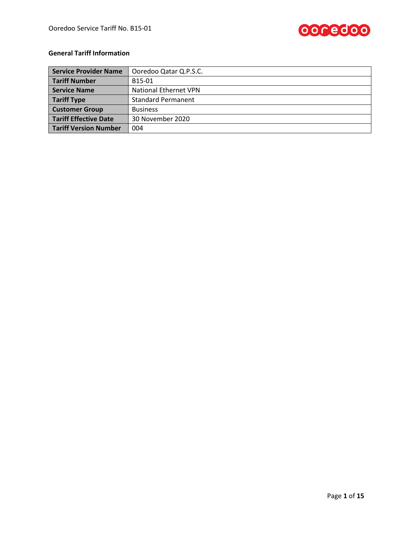

## **General Tariff Information**

| Service Provider Name        | Ooredoo Qatar Q.P.S.C.       |  |
|------------------------------|------------------------------|--|
| <b>Tariff Number</b>         | B15-01                       |  |
| Service Name                 | <b>National Ethernet VPN</b> |  |
| <b>Tariff Type</b>           | <b>Standard Permanent</b>    |  |
| <b>Customer Group</b>        | <b>Business</b>              |  |
| Tariff Effective Date        | 30 November 2020             |  |
| <b>Tariff Version Number</b> | 004                          |  |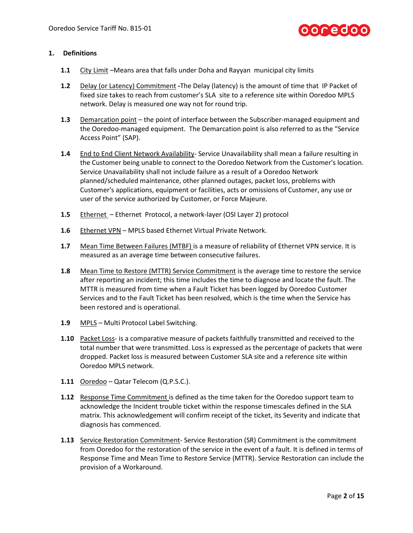

#### **1. Definitions**

- **1.1** City Limit –Means area that falls under Doha and Rayyan municipal city limits
- **1.2** Delay (or Latency) Commitment **-**The Delay (latency) is the amount of time that IP Packet of fixed size takes to reach from customer's SLA site to a reference site within Ooredoo MPLS network. Delay is measured one way not for round trip.
- **1.3** Demarcation point the point of interface between the Subscriber-managed equipment and the Ooredoo-managed equipment. The Demarcation point is also referred to as the "Service Access Point" (SAP).
- 1.4 End to End Client Network Availability- Service Unavailability shall mean a failure resulting in the Customer being unable to connect to the Ooredoo Network from the Customer's location. Service Unavailability shall not include failure as a result of a Ooredoo Network planned/scheduled maintenance, other planned outages, packet loss, problems with Customer's applications, equipment or facilities, acts or omissions of Customer, any use or user of the service authorized by Customer, or Force Majeure.
- **1.5** Ethernet Ethernet Protocol, a network-layer (OSI Layer 2) protocol
- **1.6** Ethernet VPN MPLS based Ethernet Virtual Private Network.
- **1.7** Mean Time Between Failures (MTBF) is a measure of reliability of Ethernet VPN service. It is measured as an average time between consecutive failures.
- **1.8** Mean Time to Restore (MTTR) Service Commitment is the average time to restore the service after reporting an incident; this time includes the time to diagnose and locate the fault. The MTTR is measured from time when a Fault Ticket has been logged by Ooredoo Customer Services and to the Fault Ticket has been resolved, which is the time when the Service has been restored and is operational.
- **1.9** MPLS Multi Protocol Label Switching.
- **1.10** Packet Loss- is a comparative measure of packets faithfully transmitted and received to the total number that were transmitted. Loss is expressed as the percentage of packets that were dropped. Packet loss is measured between Customer SLA site and a reference site within Ooredoo MPLS network.
- **1.11** Ooredoo Qatar Telecom (Q.P.S.C.).
- **1.12** Response Time Commitment is defined as the time taken for the Ooredoo support team to acknowledge the Incident trouble ticket within the response timescales defined in the SLA matrix. This acknowledgement will confirm receipt of the ticket, its Severity and indicate that diagnosis has commenced.
- **1.13** Service Restoration Commitment-Service Restoration (SR) Commitment is the commitment from Ooredoo for the restoration of the service in the event of a fault. It is defined in terms of Response Time and Mean Time to Restore Service (MTTR). Service Restoration can include the provision of a Workaround.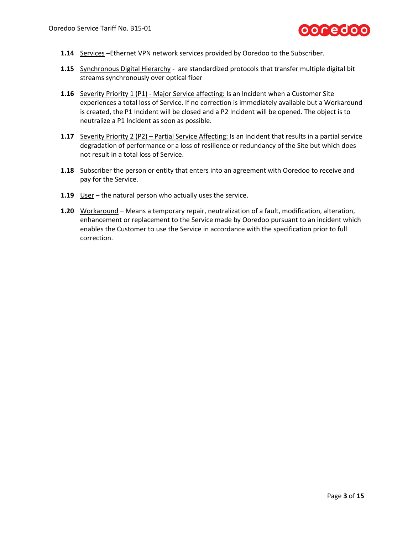

- 1.14 Services -Ethernet VPN network services provided by Ooredoo to the Subscriber.
- **1.15** Synchronous Digital Hierarchy are standardized protocols that transfer multiple digital bit streams synchronously over optical fiber
- **1.16** Severity Priority 1 (P1) Major Service affecting: Is an Incident when a Customer Site experiences a total loss of Service. If no correction is immediately available but a Workaround is created, the P1 Incident will be closed and a P2 Incident will be opened. The object is to neutralize a P1 Incident as soon as possible.
- **1.17** Severity Priority 2 (P2) Partial Service Affecting: Is an Incident that results in a partial service degradation of performance or a loss of resilience or redundancy of the Site but which does not result in a total loss of Service.
- **1.18** Subscriber the person or entity that enters into an agreement with Ooredoo to receive and pay for the Service.
- **1.19** User the natural person who actually uses the service.
- **1.20** Workaround Means a temporary repair, neutralization of a fault, modification, alteration, enhancement or replacement to the Service made by Ooredoo pursuant to an incident which enables the Customer to use the Service in accordance with the specification prior to full correction.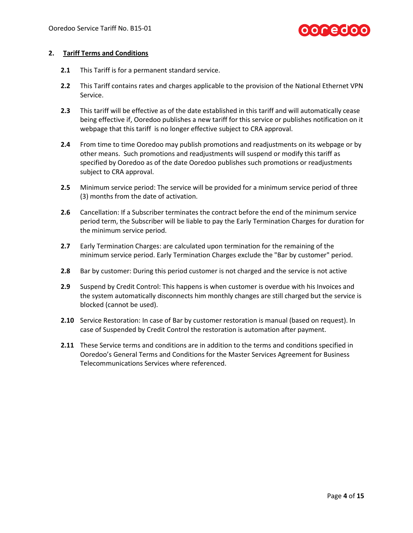## **00red00**

#### **2. Tariff Terms and Conditions**

- **2.1** This Tariff is for a permanent standard service.
- **2.2** This Tariff contains rates and charges applicable to the provision of the National Ethernet VPN Service.
- **2.3** This tariff will be effective as of the date established in this tariff and will automatically cease being effective if, Ooredoo publishes a new tariff for this service or publishes notification on it webpage that this tariff is no longer effective subject to CRA approval.
- **2.4** From time to time Ooredoo may publish promotions and readjustments on its webpage or by other means. Such promotions and readjustments will suspend or modify this tariff as specified by Ooredoo as of the date Ooredoo publishes such promotions or readjustments subject to CRA approval.
- **2.5** Minimum service period: The service will be provided for a minimum service period of three (3) months from the date of activation.
- **2.6** Cancellation: If a Subscriber terminates the contract before the end of the minimum service period term, the Subscriber will be liable to pay the Early Termination Charges for duration for the minimum service period.
- **2.7** Early Termination Charges: are calculated upon termination for the remaining of the minimum service period. Early Termination Charges exclude the "Bar by customer" period.
- **2.8** Bar by customer: During this period customer is not charged and the service is not active
- **2.9** Suspend by Credit Control: This happens is when customer is overdue with his Invoices and the system automatically disconnects him monthly changes are still charged but the service is blocked (cannot be used).
- **2.10** Service Restoration: In case of Bar by customer restoration is manual (based on request). In case of Suspended by Credit Control the restoration is automation after payment.
- **2.11** These Service terms and conditions are in addition to the terms and conditions specified in Ooredoo's General Terms and Conditions for the Master Services Agreement for Business Telecommunications Services where referenced.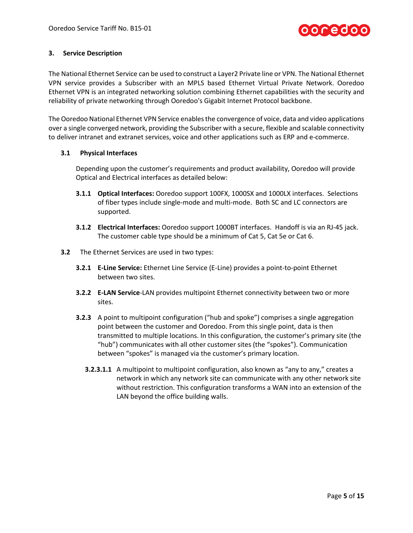

#### **3. Service Description**

The National Ethernet Service can be used to construct a Layer2 Private line or VPN. The National Ethernet VPN service provides a Subscriber with an MPLS based Ethernet Virtual Private Network. Ooredoo Ethernet VPN is an integrated networking solution combining Ethernet capabilities with the security and reliability of private networking through Ooredoo's Gigabit Internet Protocol backbone.

The Ooredoo National Ethernet VPN Service enables the convergence of voice, data and video applications over a single converged network, providing the Subscriber with a secure, flexible and scalable connectivity to deliver intranet and extranet services, voice and other applications such as ERP and e-commerce.

#### **3.1 Physical Interfaces**

Depending upon the customer's requirements and product availability, Ooredoo will provide Optical and Electrical interfaces as detailed below:

- **3.1.1 Optical Interfaces:** Ooredoo support 100FX, 1000SX and 1000LX interfaces. Selections of fiber types include single-mode and multi-mode. Both SC and LC connectors are supported.
- **3.1.2 Electrical Interfaces:** Ooredoo support 1000BT interfaces. Handoff is via an RJ-45 jack. The customer cable type should be a minimum of Cat 5, Cat 5e or Cat 6.
- **3.2** The Ethernet Services are used in two types:
	- **3.2.1 E-Line Service:** Ethernet Line Service (E-Line) provides a point-to-point Ethernet between two sites.
	- **3.2.2 E-LAN Service**-LAN provides multipoint Ethernet connectivity between two or more sites.
	- **3.2.3** A point to multipoint configuration ("hub and spoke") comprises a single aggregation point between the customer and Ooredoo. From this single point, data is then transmitted to multiple locations. In this configuration, the customer's primary site (the "hub") communicates with all other customer sites (the "spokes"). Communication between "spokes" is managed via the customer's primary location.
		- **3.2.3.1.1** A multipoint to multipoint configuration, also known as "any to any," creates a network in which any network site can communicate with any other network site without restriction. This configuration transforms a WAN into an extension of the LAN beyond the office building walls.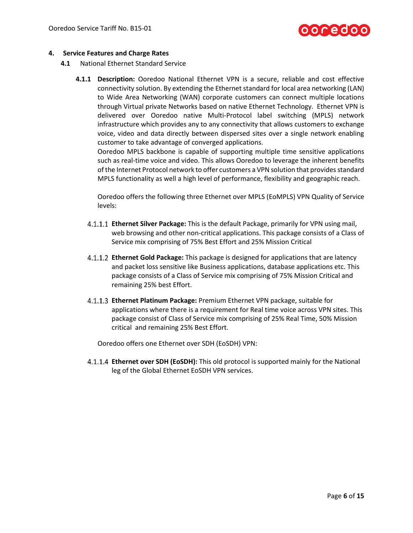

#### **4. Service Features and Charge Rates**

- **4.1** National Ethernet Standard Service
	- **4.1.1 Description:** Ooredoo National Ethernet VPN is a secure, reliable and cost effective connectivity solution. By extending the Ethernet standard for local area networking (LAN) to Wide Area Networking (WAN) corporate customers can connect multiple locations through Virtual private Networks based on native Ethernet Technology. Ethernet VPN is delivered over Ooredoo native Multi-Protocol label switching (MPLS) network infrastructure which provides any to any connectivity that allows customers to exchange voice, video and data directly between dispersed sites over a single network enabling customer to take advantage of converged applications.

Ooredoo MPLS backbone is capable of supporting multiple time sensitive applications such as real-time voice and video. This allows Ooredoo to leverage the inherent benefits of the Internet Protocol network to offer customers a VPN solution that provides standard MPLS functionality as well a high level of performance, flexibility and geographic reach.

Ooredoo offers the following three Ethernet over MPLS (EoMPLS) VPN Quality of Service levels:

- **Ethernet Silver Package:** This is the default Package, primarily for VPN using mail, web browsing and other non-critical applications. This package consists of a Class of Service mix comprising of 75% Best Effort and 25% Mission Critical
- **Ethernet Gold Package:** This package is designed for applications that are latency and packet loss sensitive like Business applications, database applications etc. This package consists of a Class of Service mix comprising of 75% Mission Critical and remaining 25% best Effort.
- **Ethernet Platinum Package:** Premium Ethernet VPN package, suitable for applications where there is a requirement for Real time voice across VPN sites. This package consist of Class of Service mix comprising of 25% Real Time, 50% Mission critical and remaining 25% Best Effort.

Ooredoo offers one Ethernet over SDH (EoSDH) VPN:

**Ethernet over SDH (EoSDH):** This old protocol is supported mainly for the National leg of the Global Ethernet EoSDH VPN services.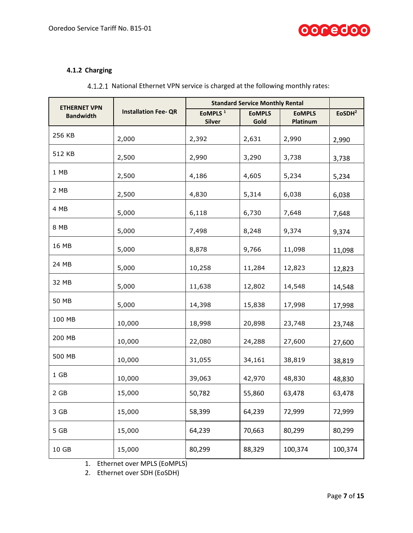

## <span id="page-6-0"></span>**4.1.2 Charging**

| 4.1.2.1 National Ethernet VPN service is charged at the following monthly rates: |  |
|----------------------------------------------------------------------------------|--|
|----------------------------------------------------------------------------------|--|

| <b>ETHERNET VPN</b> |                             | <b>Standard Service Monthly Rental</b> |                       |                           |                    |
|---------------------|-----------------------------|----------------------------------------|-----------------------|---------------------------|--------------------|
| <b>Bandwidth</b>    | <b>Installation Fee- QR</b> | EoMPLS <sup>1</sup><br><b>Silver</b>   | <b>EOMPLS</b><br>Gold | <b>EOMPLS</b><br>Platinum | EoSDH <sup>2</sup> |
| 256 KB              | 2,000                       | 2,392                                  | 2,631                 | 2,990                     | 2,990              |
| 512 KB              | 2,500                       | 2,990                                  | 3,290                 | 3,738                     | 3,738              |
| 1 MB                | 2,500                       | 4,186                                  | 4,605                 | 5,234                     | 5,234              |
| 2 MB                | 2,500                       | 4,830                                  | 5,314                 | 6,038                     | 6,038              |
| 4 MB                | 5,000                       | 6,118                                  | 6,730                 | 7,648                     | 7,648              |
| 8 MB                | 5,000                       | 7,498                                  | 8,248                 | 9,374                     | 9,374              |
| 16 MB               | 5,000                       | 8,878                                  | 9,766                 | 11,098                    | 11,098             |
| 24 MB               | 5,000                       | 10,258                                 | 11,284                | 12,823                    | 12,823             |
| 32 MB               | 5,000                       | 11,638                                 | 12,802                | 14,548                    | 14,548             |
| 50 MB               | 5,000                       | 14,398                                 | 15,838                | 17,998                    | 17,998             |
| 100 MB              | 10,000                      | 18,998                                 | 20,898                | 23,748                    | 23,748             |
| 200 MB              | 10,000                      | 22,080                                 | 24,288                | 27,600                    | 27,600             |
| 500 MB              | 10,000                      | 31,055                                 | 34,161                | 38,819                    | 38,819             |
| $1$ GB              | 10,000                      | 39,063                                 | 42,970                | 48,830                    | 48,830             |
| 2 GB                | 15,000                      | 50,782                                 | 55,860                | 63,478                    | 63,478             |
| 3 GB                | 15,000                      | 58,399                                 | 64,239                | 72,999                    | 72,999             |
| 5 GB                | 15,000                      | 64,239                                 | 70,663                | 80,299                    | 80,299             |
| 10 GB               | 15,000                      | 80,299                                 | 88,329                | 100,374                   | 100,374            |

1. Ethernet over MPLS (EoMPLS)

2. Ethernet over SDH (EoSDH)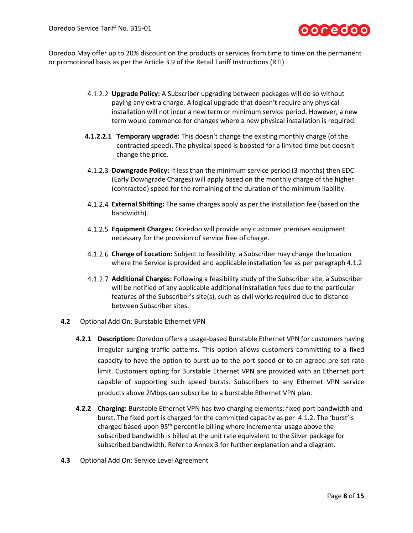

Ooredoo May offer up to 20% discount on the products or services from time to time on the permanent or promotional basis as per the Article 3.9 of the Retail Tariff Instructions (RTI).

- **Upgrade Policy:** A Subscriber upgrading between packages will do so without paying any extra charge. A logical upgrade that doesn't require any physical installation will not incur a new term or minimum service period. However, a new term would commence for changes where a new physical installation is required.
- **4.1.2.2.1 Temporary upgrade:** This doesn't change the existing monthly charge (of the contracted speed). The physical speed is boosted for a limited time but doesn't change the price.
- **Downgrade Policy:** If less than the minimum service period (3 months) then EDC (Early Downgrade Charges) will apply based on the monthly charge of the higher (contracted) speed for the remaining of the duration of the minimum liability.
- **External Shifting:** The same charges apply as per the installation fee (based on the bandwidth).
- **Equipment Charges:** Ooredoo will provide any customer premises equipment necessary for the provision of service free of charge.
- **Change of Location:** Subject to feasibility, a Subscriber may change the location where the Service is provided and applicable installation fee as per paragrap[h 4.1.2](#page-6-0)
- **Additional Charges:** Following a feasibility study of the Subscriber site, a Subscriber will be notified of any applicable additional installation fees due to the particular features of the Subscriber's site(s), such as civil works required due to distance between Subscriber sites.
- **4.2** Optional Add On: Burstable Ethernet VPN
	- **4.2.1 Description:** Ooredoo offers a usage-based Burstable Ethernet VPN for customers having irregular surging traffic patterns. This option allows customers committing to a fixed capacity to have the option to burst up to the port speed or to an agreed pre-set rate limit. Customers opting for Burstable Ethernet VPN are provided with an Ethernet port capable of supporting such speed bursts. Subscribers to any Ethernet VPN service products above 2Mbps can subscribe to a burstable Ethernet VPN plan.
	- **4.2.2 Charging:** Burstable Ethernet VPN has two charging elements; fixed port bandwidth and burst. The fixed port is charged for the committed capacity as per [4.1.2.](#page-6-0) The 'burst'is charged based upon 95<sup>th</sup> percentile billing where incremental usage above the subscribed bandwidth is billed at the unit rate equivalent to the Silver package for subscribed bandwidth. Refer to Annex 3 for further explanation and a diagram.
- **4.3** Optional Add On: Service Level Agreement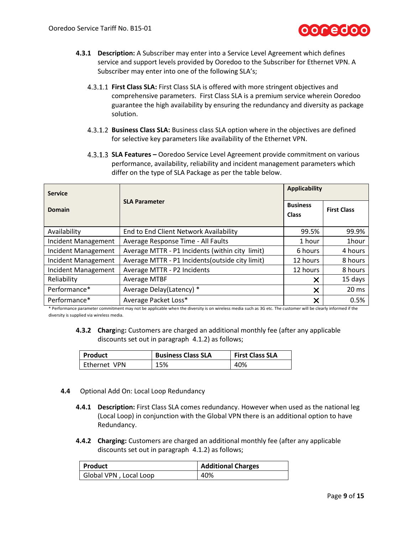

- **4.3.1 Description:** A Subscriber may enter into a Service Level Agreement which defines service and support levels provided by Ooredoo to the Subscriber for Ethernet VPN. A Subscriber may enter into one of the following SLA's;
	- **First Class SLA:** First Class SLA is offered with more stringent objectives and comprehensive parameters. First Class SLA is a premium service wherein Ooredoo guarantee the high availability by ensuring the redundancy and diversity as package solution.
	- **Business Class SLA:** Business class SLA option where in the objectives are defined for selective key parameters like availability of the Ethernet VPN.
	- **SLA Features –** Ooredoo Service Level Agreement provide commitment on various performance, availability, reliability and incident management parameters which differ on the type of SLA Package as per the table below.

| <b>Service</b>             |                                                  | <b>Applicability</b>            |                    |
|----------------------------|--------------------------------------------------|---------------------------------|--------------------|
| Domain                     | <b>SLA Parameter</b>                             | <b>Business</b><br><b>Class</b> | <b>First Class</b> |
| Availability               | End to End Client Network Availability           | 99.5%                           | 99.9%              |
| Incident Management        | Average Response Time - All Faults               | 1 hour                          | 1hour              |
| Incident Management        | Average MTTR - P1 Incidents (within city limit)  | 6 hours                         | 4 hours            |
| <b>Incident Management</b> | Average MTTR - P1 Incidents (outside city limit) | 12 hours                        | 8 hours            |
| Incident Management        | Average MTTR - P2 Incidents                      | 12 hours                        | 8 hours            |
| Reliability                | <b>Average MTBF</b>                              | ×                               | 15 days            |
| Performance*               | Average Delay(Latency) *                         | X                               | 20 <sub>ms</sub>   |
| Performance*               | Average Packet Loss*                             | $\times$                        | 0.5%               |

\* Performance parameter commitment may not be applicable when the diversity is on wireless media such as 3G etc. The customer will be clearly informed if the diversity is supplied via wireless media.

**4.3.2 Charg**ing**:** Customers are charged an additional monthly fee (after any applicable discounts set out in paragraph [4.1.2\)](#page-6-0) as follows;

| <b>Product</b> | <b>Business Class SLA</b> | <b>First Class SLA</b> |
|----------------|---------------------------|------------------------|
| l Ethernet VPN | 15%                       | 40%                    |

- **4.4** Optional Add On: Local Loop Redundancy
	- **4.4.1 Description:** First Class SLA comes redundancy. However when used as the national leg (Local Loop) in conjunction with the Global VPN there is an additional option to have Redundancy.
	- **4.4.2 Charging:** Customers are charged an additional monthly fee (after any applicable discounts set out in paragraph [4.1.2\)](#page-6-0) as follows;

| Product                | <b>Additional Charges</b> |  |
|------------------------|---------------------------|--|
| Global VPN, Local Loop | 40%                       |  |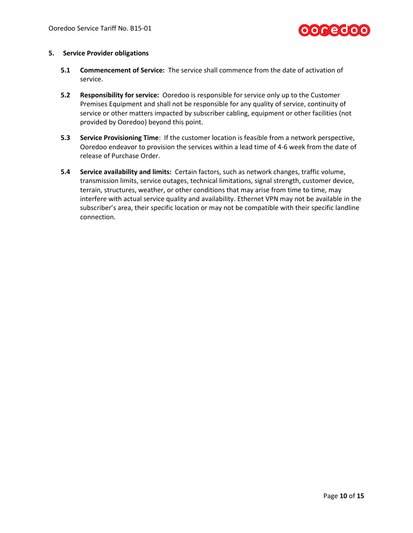

#### **5. Service Provider obligations**

- **5.1 Commencement of Service:** The service shall commence from the date of activation of service.
- **5.2 Responsibility for service:** Ooredoo is responsible for service only up to the Customer Premises Equipment and shall not be responsible for any quality of service, continuity of service or other matters impacted by subscriber cabling, equipment or other facilities (not provided by Ooredoo) beyond this point.
- **5.3 Service Provisioning Time**: If the customer location is feasible from a network perspective, Ooredoo endeavor to provision the services within a lead time of 4-6 week from the date of release of Purchase Order.
- **5.4 Service availability and limits:** Certain factors, such as network changes, traffic volume, transmission limits, service outages, technical limitations, signal strength, customer device, terrain, structures, weather, or other conditions that may arise from time to time, may interfere with actual service quality and availability. Ethernet VPN may not be available in the subscriber's area, their specific location or may not be compatible with their specific landline connection.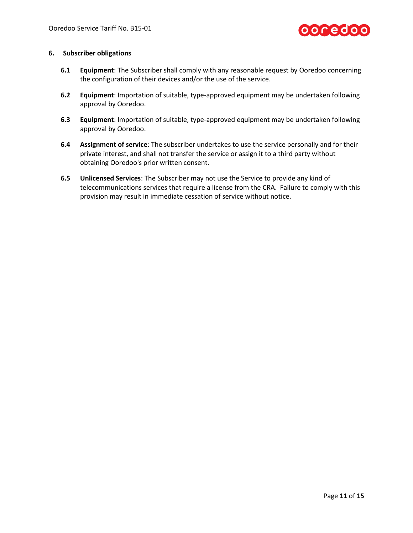

#### **6. Subscriber obligations**

- **6.1 Equipment**: The Subscriber shall comply with any reasonable request by Ooredoo concerning the configuration of their devices and/or the use of the service.
- **6.2 Equipment**: Importation of suitable, type-approved equipment may be undertaken following approval by Ooredoo.
- **6.3 Equipment**: Importation of suitable, type-approved equipment may be undertaken following approval by Ooredoo.
- **6.4 Assignment of service**: The subscriber undertakes to use the service personally and for their private interest, and shall not transfer the service or assign it to a third party without obtaining Ooredoo's prior written consent.
- **6.5 Unlicensed Services**: The Subscriber may not use the Service to provide any kind of telecommunications services that require a license from the CRA. Failure to comply with this provision may result in immediate cessation of service without notice.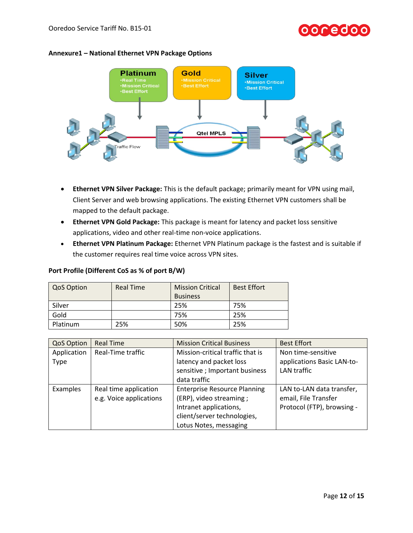# OOCedoo

#### **Annexure1 – National Ethernet VPN Package Options**



- **Ethernet VPN Silver Package:** This is the default package; primarily meant for VPN using mail, Client Server and web browsing applications. The existing Ethernet VPN customers shall be mapped to the default package.
- **Ethernet VPN Gold Package:** This package is meant for latency and packet loss sensitive applications, video and other real-time non-voice applications.
- **Ethernet VPN Platinum Package:** Ethernet VPN Platinum package is the fastest and is suitable if the customer requires real time voice across VPN sites.

#### **Port Profile (Different CoS as % of port B/W)**

| <b>QoS Option</b> | <b>Real Time</b> | <b>Mission Critical</b> | <b>Best Effort</b> |
|-------------------|------------------|-------------------------|--------------------|
|                   |                  | <b>Business</b>         |                    |
| Silver            |                  | 25%                     | 75%                |
| Gold              |                  | 75%                     | 25%                |
| Platinum          | 25%              | 50%                     | 25%                |

| <b>QoS Option</b> | <b>Real Time</b>        | <b>Mission Critical Business</b>                      | <b>Best Effort</b>         |
|-------------------|-------------------------|-------------------------------------------------------|----------------------------|
| Application       | Real-Time traffic       | Mission-critical traffic that is                      | Non time-sensitive         |
| Type              |                         | latency and packet loss<br>applications Basic LAN-to- |                            |
|                   |                         | sensitive; Important business                         | LAN traffic                |
|                   |                         | data traffic                                          |                            |
| Examples          | Real time application   | <b>Enterprise Resource Planning</b>                   | LAN to-LAN data transfer,  |
|                   | e.g. Voice applications | (ERP), video streaming;                               | email, File Transfer       |
|                   |                         | Intranet applications,                                | Protocol (FTP), browsing - |
|                   |                         | client/server technologies,                           |                            |
|                   |                         | Lotus Notes, messaging                                |                            |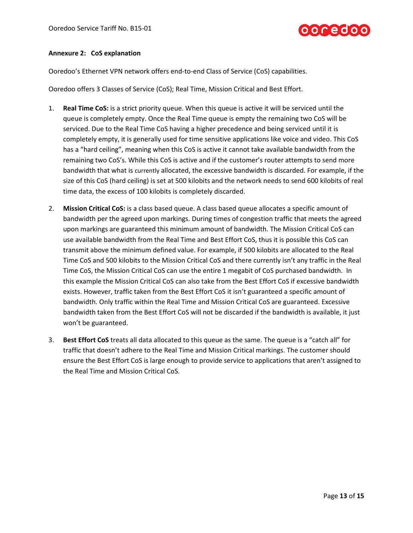

#### **Annexure 2: CoS explanation**

Ooredoo's Ethernet VPN network offers end-to-end Class of Service (CoS) capabilities.

Ooredoo offers 3 Classes of Service (CoS); Real Time, Mission Critical and Best Effort.

- 1. **Real Time CoS:** is a strict priority queue. When this queue is active it will be serviced until the queue is completely empty. Once the Real Time queue is empty the remaining two CoS will be serviced. Due to the Real Time CoS having a higher precedence and being serviced until it is completely empty, it is generally used for time sensitive applications like voice and video. This CoS has a "hard ceiling", meaning when this CoS is active it cannot take available bandwidth from the remaining two CoS's. While this CoS is active and if the customer's router attempts to send more bandwidth that what is currently allocated, the excessive bandwidth is discarded. For example, if the size of this CoS (hard ceiling) is set at 500 kilobits and the network needs to send 600 kilobits of real time data, the excess of 100 kilobits is completely discarded.
- 2. **Mission Critical CoS:** is a class based queue. A class based queue allocates a specific amount of bandwidth per the agreed upon markings. During times of congestion traffic that meets the agreed upon markings are guaranteed this minimum amount of bandwidth. The Mission Critical CoS can use available bandwidth from the Real Time and Best Effort CoS, thus it is possible this CoS can transmit above the minimum defined value. For example, if 500 kilobits are allocated to the Real Time CoS and 500 kilobits to the Mission Critical CoS and there currently isn't any traffic in the Real Time CoS, the Mission Critical CoS can use the entire 1 megabit of CoS purchased bandwidth. In this example the Mission Critical CoS can also take from the Best Effort CoS if excessive bandwidth exists. However, traffic taken from the Best Effort CoS it isn't guaranteed a specific amount of bandwidth. Only traffic within the Real Time and Mission Critical CoS are guaranteed. Excessive bandwidth taken from the Best Effort CoS will not be discarded if the bandwidth is available, it just won't be guaranteed.
- 3. **Best Effort CoS** treats all data allocated to this queue as the same. The queue is a "catch all" for traffic that doesn't adhere to the Real Time and Mission Critical markings. The customer should ensure the Best Effort CoS is large enough to provide service to applications that aren't assigned to the Real Time and Mission Critical CoS.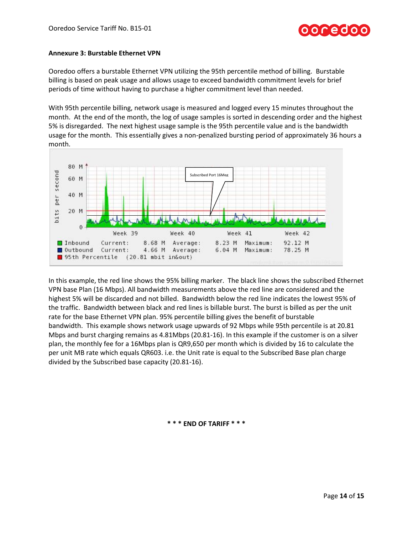#### **Annexure 3: Burstable Ethernet VPN**

Ooredoo offers a burstable Ethernet VPN utilizing the 95th percentile method of billing. Burstable billing is based on peak usage and allows usage to exceed bandwidth commitment levels for brief periods of time without having to purchase a higher commitment level than needed.

With 95th percentile billing, network usage is measured and logged every 15 minutes throughout the month. At the end of the month, the log of usage samples is sorted in descending order and the highest 5% is disregarded. The next highest usage sample is the 95th percentile value and is the bandwidth usage for the month. This essentially gives a non-penalized bursting period of approximately 36 hours a month.



In this example, the red line shows the 95% billing marker. The black line shows the subscribed Ethernet VPN base Plan (16 Mbps). All bandwidth measurements above the red line are considered and the highest 5% will be discarded and not billed. Bandwidth below the red line indicates the lowest 95% of the traffic. Bandwidth between black and red lines is billable burst. The burst is billed as per the unit rate for the base Ethernet VPN plan. 95% percentile billing gives the benefit of burstable bandwidth. This example shows network usage upwards of 92 Mbps while 95th percentile is at 20.81 Mbps and burst charging remains as 4.81Mbps (20.81-16). In this example if the customer is on a silver plan, the monthly fee for a 16Mbps plan is QR9,650 per month which is divided by 16 to calculate the per unit MB rate which equals QR603. i.e. the Unit rate is equal to the Subscribed Base plan charge divided by the Subscribed base capacity (20.81-16).

**\* \* \* END OF TARIFF \* \* \***